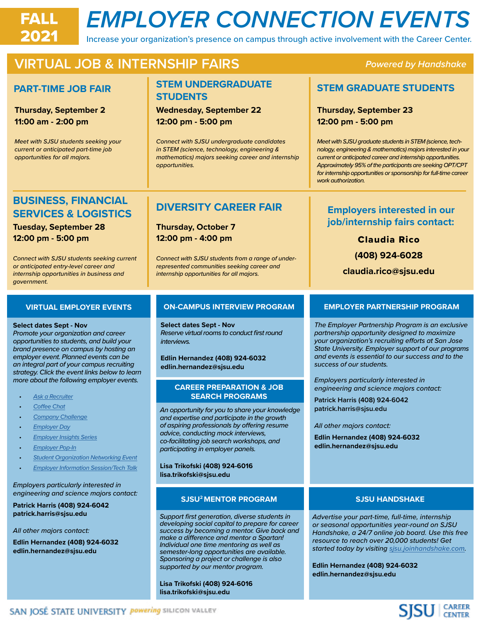# FALL *EMPLOYER CONNECTION EVENTS*

Increase your organization's presence on campus through active involvement with the Career Center.

## **VIRTUAL JOB & INTERNSHIP FAIRS** *Powered by Handshake*

#### **PART-TIME JOB FAIR**

**Thursday, September 2 11:00 am - 2:00 pm**

*Meet with SJSU students seeking your current or anticipated part-time job opportunities for all majors.*

#### **STEM UNDERGRADUATE STUDENTS**

**Wednesday, September 22 12:00 pm - 5:00 pm**

*Connect with SJSU undergraduate candidates in STEM (science, technology, engineering & mathematics) majors seeking career and internship opportunities.* 

#### **STEM GRADUATE STUDENTS**

**Thursday, September 23 12:00 pm - 5:00 pm**

*Meet with SJSU graduate students in STEM (science, technology, engineering & mathematics) majors interested in your current or anticipated career and internship opportunities. Approximately 95% of the participants are seeking OPT/CPT for internship opportunities or sponsorship for full-time career work authorization.*

#### **BUSINESS, FINANCIAL SERVICES & LOGISTICS**

**Tuesday, September 28 12:00 pm - 5:00 pm**

*Connect with SJSU students seeking current or anticipated entry-level career and internship opportunities in business and government.*

### **DIVERSITY CAREER FAIR**

**Thursday, October 7 12:00 pm - 4:00 pm**

*Connect with SJSU students from a range of underrepresented communities seeking career and internship opportunities for all majors.*

#### **VIRTUAL EMPLOYER EVENTS**

#### **Select dates Sept - Nov**

*Promote your organization and career opportunities to students, and build your brand presence on campus by hosting an employer event. Planned events can be an integral part of your campus recruiting strategy. Click the event links below to learn more about the following employer events.*

- *• [Ask a Recruiter](https://www.sjsu.edu/careercenter/employers/events.php)*
- *• [Coffee Chat](https://www.sjsu.edu/careercenter/employers/events.php)*
- *• [Company Challenge](https://www.sjsu.edu/careercenter/employers/events.php)*
- *• [Employer Day](https://www.sjsu.edu/careercenter/employers/events.php)*
- *• [Employer Insights Series](https://www.sjsu.edu/careercenter/employers/events.php)*
- *• [Employer Pop-In](https://www.sjsu.edu/careercenter/employers/events.php)*
- *• [Student Organization Networking Event](https://www.sjsu.edu/careercenter/employers/events.php)*
- *• [Employer Information Session/Tech Talk](https://www.sjsu.edu/careercenter/employers/events.php)*

*Employers particularly interested in engineering and science majors contact:*

**Patrick Harris (408) 924-6042 patrick.harris@sjsu.edu**

*All other majors contact:*

**Edlin Hernandez (408) 924-6032 edlin.hernandez@sjsu.edu**

#### **ON-CAMPUS INTERVIEW PROGRAM**

**Select dates Sept - Nov** *Reserve virtual rooms to conduct first round interviews.*

**Edlin Hernandez (408) 924-6032 edlin.hernandez@sjsu.edu**

#### **CAREER PREPARATION & JOB SEARCH PROGRAMS**

*An opportunity for you to share your knowledge and expertise and participate in the growth of aspiring professionals by offering resume advice, conducting mock interviews, co-facilitating job search workshops, and participating in employer panels.*

**Lisa Trikofski (408) 924-6016 lisa.trikofski@sjsu.edu**

#### **SJSU2 MENTOR PROGRAM**

*Support first generation, diverse students in developing social capital to prepare for career success by becoming a mentor. Give back and make a difference and mentor a Spartan! Individual one time mentoring as well as semester-long opportunities are available. Sponsoring a project or challenge is also supported by our mentor program.* 

**Lisa Trikofski (408) 924-6016 lisa.trikofski@sjsu.edu**

#### **Employers interested in our job/internship fairs contact:**

Claudia Rico **(408) 924-6028**

**claudia.rico@sjsu.edu**

#### **EMPLOYER PARTNERSHIP PROGRAM**

*The Employer Partnership Program is an exclusive partnership opportunity designed to maximize your organization's recruiting efforts at San Jose State University. Employer support of our programs and events is essential to our success and to the success of our students.* 

*Employers particularly interested in engineering and science majors contact:*

**Patrick Harris (408) 924-6042 patrick.harris@sjsu.edu**

*All other majors contact:*

**Edlin Hernandez (408) 924-6032 edlin.hernandez@sjsu.edu**

#### **SJSU HANDSHAKE**

*Advertise your part-time, full-time, internship or seasonal opportunities year-round on SJSU Handshake, a 24/7 online job board. Use this free resource to reach over 20,000 students! Get started today by visiting [sjsu.joinhandshake.com.](http://sjsu.joinhandshake.com)*

**Edlin Hernandez (408) 924-6032 edlin.hernandez@sjsu.edu**

# **SJSU** CAREER